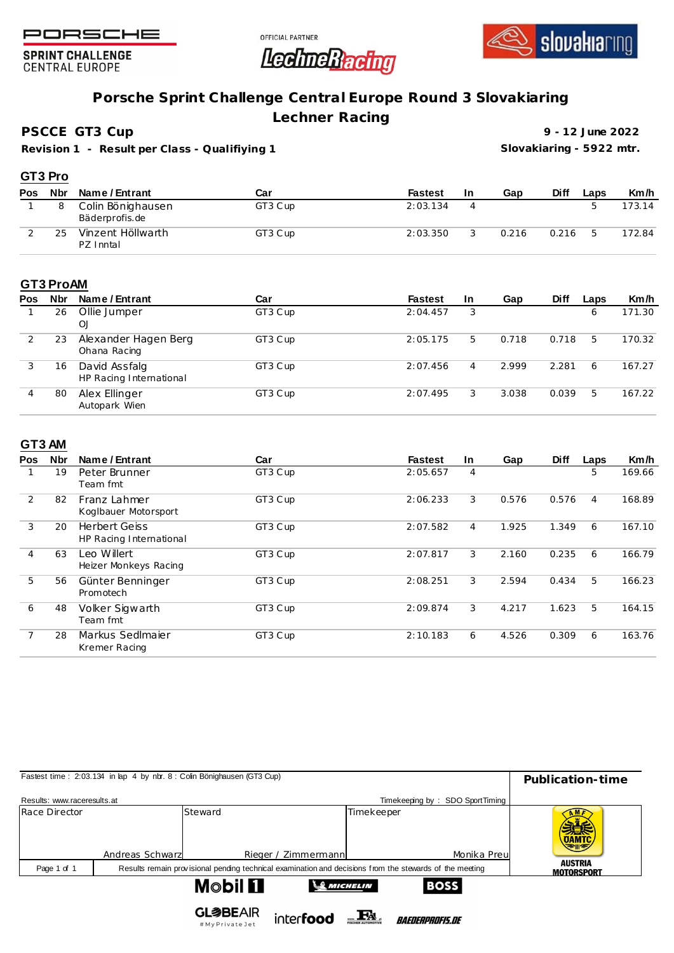





**SPRINT CHALLENGE CENTRAL EUROPE** 

## **Porsche Sprint Challenge Central Europe Round 3 Slovakiaring**

**Lechner Racing**

**PSCCE GT3 Cup**

**Revision 1 - Result per Class - Qualifiying 1**

**9 - 12 June 2022 Slovakiaring - 5922 mtr.**

|     | GT3 Pro |                                     |         |                |     |       |             |      |        |
|-----|---------|-------------------------------------|---------|----------------|-----|-------|-------------|------|--------|
| Pos | Nbr     | Name / Entrant                      | Car     | <b>Fastest</b> | -In | Gap   | <b>Diff</b> | Laps | Km/h   |
|     |         | Colin Bönighausen<br>Bäderprofis.de | GT3 Cup | 2:03.134       | 4   |       |             |      | 173.14 |
|     | 25      | Vinzent Höllwarth<br>PZ Inntal      | GT3 Cup | 2:03.350       |     | 0.216 | 0.216       | 5    | 172.84 |

## **GT3 ProAM**

| Pos | <b>Nbr</b> | Name / Entrant                           | Car     | <b>Fastest</b> | <b>In</b> | Gap   | <b>Diff</b> | Laps | Km/h   |
|-----|------------|------------------------------------------|---------|----------------|-----------|-------|-------------|------|--------|
|     | 26         | Ollie Jumper<br>O <sub>1</sub>           | GT3 Cup | 2:04.457       | 3         |       |             | 6    | 171.30 |
|     | 23         | Alexander Hagen Berg<br>Ohana Racing     | GT3 Cup | 2:05.175       | 5.        | 0.718 | 0.718       | 5    | 170.32 |
|     | 16         | David Assfalg<br>HP Racing International | GT3 Cup | 2:07.456       | 4         | 2.999 | 2.281       | 6    | 167.27 |
| 4   | 80         | Alex Ellinger<br>Autopark Wien           | GT3 Cup | 2:07.495       | 3         | 3.038 | 0.039       | 5    | 167.22 |

## **GT3 AM**

| Pos            | Nbr | Name / Entrant                                  | Car     | <b>Fastest</b> | In.            | Gap   | <b>Diff</b> | Laps | Km/h   |
|----------------|-----|-------------------------------------------------|---------|----------------|----------------|-------|-------------|------|--------|
|                | 19  | Peter Brunner<br>Team fmt                       | GT3 Cup | 2:05.657       | 4              |       |             | 5    | 169.66 |
| $\overline{2}$ | 82  | Franz Lahmer<br>Koglbauer Motorsport            | GT3 Cup | 2:06.233       | 3              | 0.576 | 0.576       | 4    | 168.89 |
| 3              | 20  | <b>Herbert Geiss</b><br>HP Racing International | GT3 Cup | 2:07.582       | $\overline{4}$ | 1.925 | 1.349       | 6    | 167.10 |
| 4              | 63  | Leo Willert<br>Heizer Monkeys Racing            | GT3 Cup | 2:07.817       | 3              | 2.160 | 0.235       | 6    | 166.79 |
| 5              | 56  | Günter Benninger<br>Promotech                   | GT3 Cup | 2:08.251       | 3              | 2.594 | 0.434       | 5    | 166.23 |
| 6              | 48  | Volker Sigwarth<br>Team fmt                     | GT3 Cup | 2:09.874       | 3              | 4.217 | 1.623       | 5    | 164.15 |
|                | 28  | Markus Sedlmaier<br>Kremer Racing               | GT3 Cup | 2:10.183       | 6              | 4.526 | 0.309       | 6    | 163.76 |

| Fastest time: 2:03.134 in lap 4 by nbr. 8 : Colin Bönighausen (GT3 Cup) | Publication-time |                                  |                     |                  |                                                                                                         |                                     |
|-------------------------------------------------------------------------|------------------|----------------------------------|---------------------|------------------|---------------------------------------------------------------------------------------------------------|-------------------------------------|
|                                                                         |                  |                                  |                     |                  |                                                                                                         |                                     |
| Results: www.raceresults.at                                             |                  |                                  |                     |                  |                                                                                                         |                                     |
| Race Director                                                           |                  | Steward                          |                     | Timekeeper       |                                                                                                         | <b>UAMTC</b>                        |
|                                                                         | Andreas Schwarz  |                                  | Rieger / Zimmermann |                  | Monika Preul                                                                                            |                                     |
| Page 1 of 1                                                             |                  |                                  |                     |                  | Results remain provisional pending technical examination and decisions from the stewards of the meeting | <b>AUSTRIA</b><br><b>MOTORSPORT</b> |
|                                                                         |                  | <b>Mobil Fl</b>                  |                     | <b>SMICHELIN</b> | <b>BOSS</b>                                                                                             |                                     |
|                                                                         |                  | <b>GL参BEAIR</b><br>#MyPrivateJet | interfood           |                  | <i>BAEDERPROFIS.DE</i>                                                                                  |                                     |